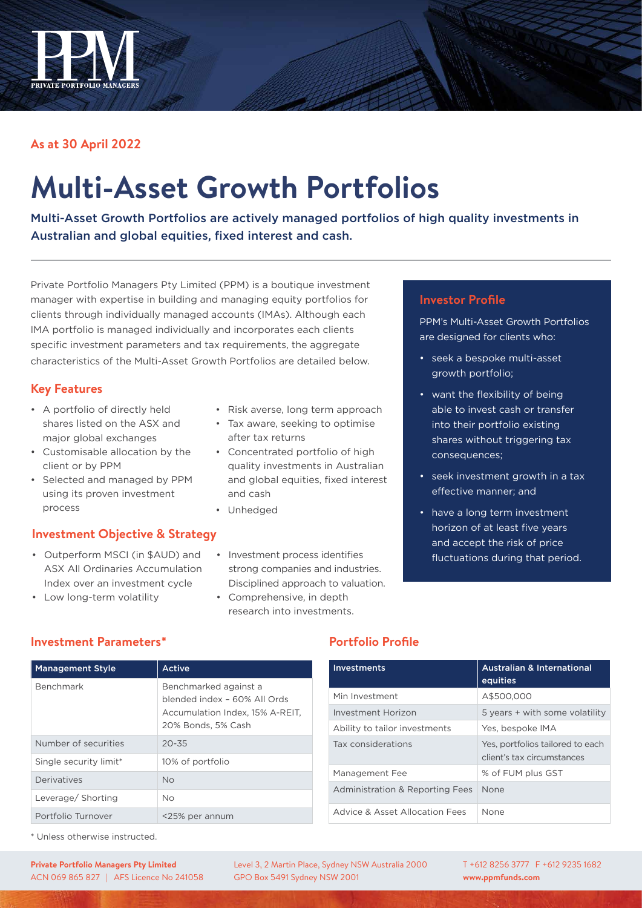

## **As at 30 April 2022**

# **Multi-Asset Growth Portfolios**

Multi-Asset Growth Portfolios are actively managed portfolios of high quality investments in Australian and global equities, fixed interest and cash.

Private Portfolio Managers Pty Limited (PPM) is a boutique investment manager with expertise in building and managing equity portfolios for clients through individually managed accounts (IMAs). Although each IMA portfolio is managed individually and incorporates each clients specific investment parameters and tax requirements, the aggregate characteristics of the Multi-Asset Growth Portfolios are detailed below.

## **Key Features**

- • A portfolio of directly held shares listed on the ASX and major global exchanges
- • Customisable allocation by the client or by PPM
- • Selected and managed by PPM using its proven investment process

## **Investment Objective & Strategy**

• Outperform MSCI (in \$AUD) and ASX All Ordinaries Accumulation Index over an investment cycle

- Risk averse, long term approach
- • Tax aware, seeking to optimise after tax returns
- Concentrated portfolio of high quality investments in Australian and global equities, fixed interest and cash
- Unhedged
- • Investment process identifies strong companies and industries. Disciplined approach to valuation.
- Comprehensive, in depth research into investments.

#### **Investor Profile**

PPM's Multi-Asset Growth Portfolios are designed for clients who:

- seek a bespoke multi-asset growth portfolio;
- want the flexibility of being able to invest cash or transfer into their portfolio existing shares without triggering tax consequences;
- seek investment growth in a tax effective manner; and
- have a long term investment horizon of at least five years and accept the risk of price fluctuations during that period.

| <b>Management Style</b> | Active                                                                                                         |
|-------------------------|----------------------------------------------------------------------------------------------------------------|
| Benchmark               | Benchmarked against a<br>blended index - 60% All Ords<br>Accumulation Index, 15% A-REIT,<br>20% Bonds, 5% Cash |
| Number of securities    | $20 - 35$                                                                                                      |
| Single security limit*  | 10% of portfolio                                                                                               |
| Derivatives             | N <sub>o</sub>                                                                                                 |
| Leverage/ Shorting      | No.                                                                                                            |
| Portfolio Turnover      | <25% per annum                                                                                                 |

## **Investment Parameters\***

• Low long-term volatility

## **Portfolio Profile**

| <b>Investments</b>              | <b>Australian &amp; International</b><br>equities              |
|---------------------------------|----------------------------------------------------------------|
| Min Investment                  | A\$500,000                                                     |
| Investment Horizon              | 5 years + with some volatility                                 |
| Ability to tailor investments   | Yes, bespoke IMA                                               |
| Tax considerations              | Yes, portfolios tailored to each<br>client's tax circumstances |
| Management Fee                  | % of FUM plus GST                                              |
| Administration & Reporting Fees | None                                                           |
| Advice & Asset Allocation Fees  | None                                                           |

\* Unless otherwise instructed.

**Private Portfolio Managers Pty Limited** ACN 069 865 827 | AFS Licence No 241058 Level 3, 2 Martin Place, Sydney NSW Australia 2000 GPO Box 5491 Sydney NSW 2001

T +612 8256 3777 F +612 9235 1682 **www.ppmfunds.com**